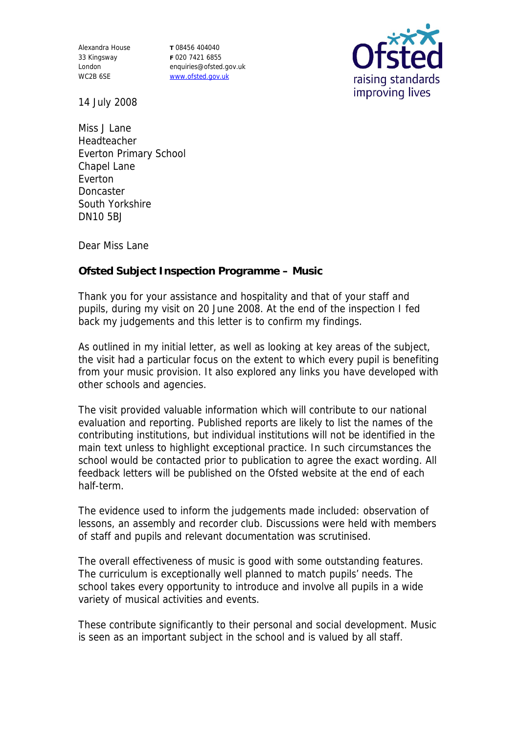Alexandra House 33 Kingsway London WC2B 6SE

**T** 08456 404040 **F** 020 7421 6855 enquiries@ofsted.gov.uk www.ofsted.gov.uk



14 July 2008

Miss J Lane Headteacher Everton Primary School Chapel Lane Everton **Doncaster** South Yorkshire DN10 5BJ

Dear Miss Lane

**Ofsted Subject Inspection Programme – Music**

Thank you for your assistance and hospitality and that of your staff and pupils, during my visit on 20 June 2008. At the end of the inspection I fed back my judgements and this letter is to confirm my findings.

As outlined in my initial letter, as well as looking at key areas of the subject, the visit had a particular focus on the extent to which every pupil is benefiting from your music provision. It also explored any links you have developed with other schools and agencies.

The visit provided valuable information which will contribute to our national evaluation and reporting. Published reports are likely to list the names of the contributing institutions, but individual institutions will not be identified in the main text unless to highlight exceptional practice. In such circumstances the school would be contacted prior to publication to agree the exact wording. All feedback letters will be published on the Ofsted website at the end of each half-term.

The evidence used to inform the judgements made included: observation of lessons, an assembly and recorder club. Discussions were held with members of staff and pupils and relevant documentation was scrutinised.

The overall effectiveness of music is good with some outstanding features. The curriculum is exceptionally well planned to match pupils' needs. The school takes every opportunity to introduce and involve all pupils in a wide variety of musical activities and events.

These contribute significantly to their personal and social development. Music is seen as an important subject in the school and is valued by all staff.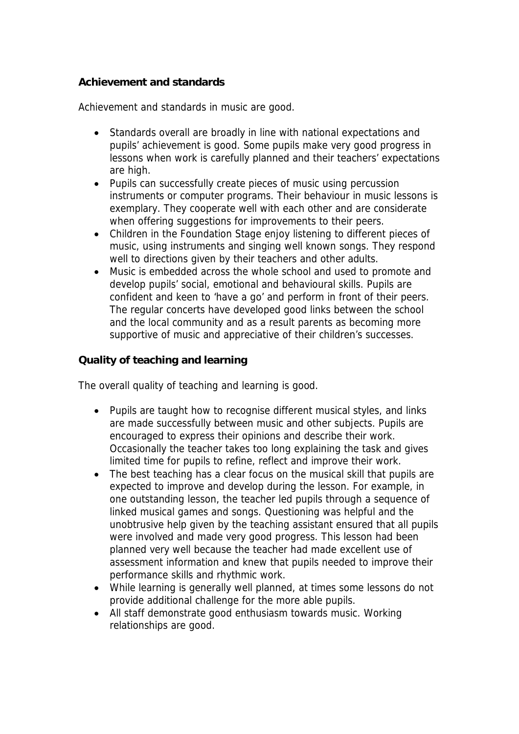## **Achievement and standards**

Achievement and standards in music are good.

- Standards overall are broadly in line with national expectations and pupils' achievement is good. Some pupils make very good progress in lessons when work is carefully planned and their teachers' expectations are high.
- Pupils can successfully create pieces of music using percussion instruments or computer programs. Their behaviour in music lessons is exemplary. They cooperate well with each other and are considerate when offering suggestions for improvements to their peers.
- Children in the Foundation Stage enjoy listening to different pieces of music, using instruments and singing well known songs. They respond well to directions given by their teachers and other adults.
- Music is embedded across the whole school and used to promote and develop pupils' social, emotional and behavioural skills. Pupils are confident and keen to 'have a go' and perform in front of their peers. The regular concerts have developed good links between the school and the local community and as a result parents as becoming more supportive of music and appreciative of their children's successes.

**Quality of teaching and learning**

The overall quality of teaching and learning is good.

- Pupils are taught how to recognise different musical styles, and links are made successfully between music and other subjects. Pupils are encouraged to express their opinions and describe their work. Occasionally the teacher takes too long explaining the task and gives limited time for pupils to refine, reflect and improve their work.
- The best teaching has a clear focus on the musical skill that pupils are expected to improve and develop during the lesson. For example, in one outstanding lesson, the teacher led pupils through a sequence of linked musical games and songs. Questioning was helpful and the unobtrusive help given by the teaching assistant ensured that all pupils were involved and made very good progress. This lesson had been planned very well because the teacher had made excellent use of assessment information and knew that pupils needed to improve their performance skills and rhythmic work.
- While learning is generally well planned, at times some lessons do not provide additional challenge for the more able pupils.
- All staff demonstrate good enthusiasm towards music. Working relationships are good.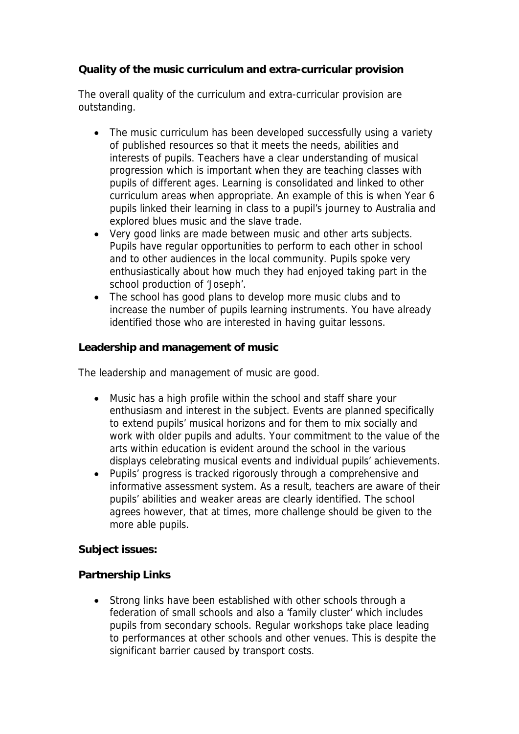**Quality of the music curriculum and extra-curricular provision**

The overall quality of the curriculum and extra-curricular provision are outstanding.

- The music curriculum has been developed successfully using a variety of published resources so that it meets the needs, abilities and interests of pupils. Teachers have a clear understanding of musical progression which is important when they are teaching classes with pupils of different ages. Learning is consolidated and linked to other curriculum areas when appropriate. An example of this is when Year 6 pupils linked their learning in class to a pupil's journey to Australia and explored blues music and the slave trade.
- Very good links are made between music and other arts subjects. Pupils have regular opportunities to perform to each other in school and to other audiences in the local community. Pupils spoke very enthusiastically about how much they had enjoyed taking part in the school production of 'Joseph'.
- The school has good plans to develop more music clubs and to increase the number of pupils learning instruments. You have already identified those who are interested in having guitar lessons.

**Leadership and management of music** 

The leadership and management of music are good.

- Music has a high profile within the school and staff share your enthusiasm and interest in the subject. Events are planned specifically to extend pupils' musical horizons and for them to mix socially and work with older pupils and adults. Your commitment to the value of the arts within education is evident around the school in the various displays celebrating musical events and individual pupils' achievements.
- Pupils' progress is tracked rigorously through a comprehensive and informative assessment system. As a result, teachers are aware of their pupils' abilities and weaker areas are clearly identified. The school agrees however, that at times, more challenge should be given to the more able pupils.

**Subject issues:** 

**Partnership Links**

 Strong links have been established with other schools through a federation of small schools and also a 'family cluster' which includes pupils from secondary schools. Regular workshops take place leading to performances at other schools and other venues. This is despite the significant barrier caused by transport costs.